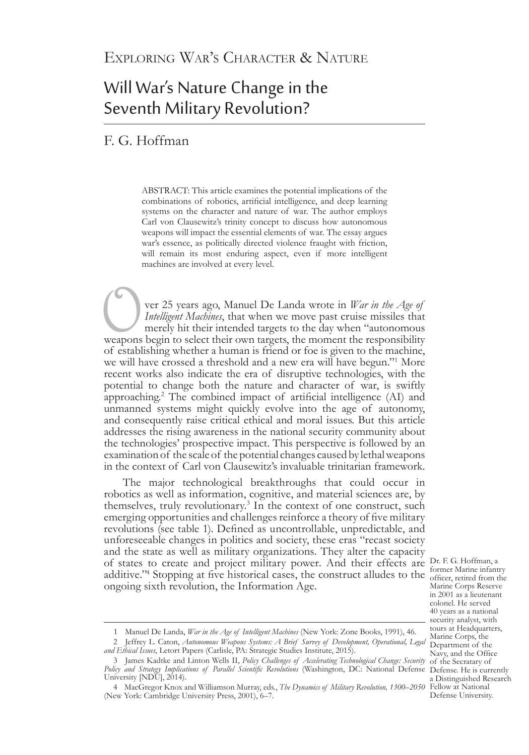# Will War's Nature Change in the Seventh Military Revolution?

# F. G. Hoffman

ABSTRACT: This article examines the potential implications of the combinations of robotics, artificial intelligence, and deep learning systems on the character and nature of war. The author employs Carl von Clausewitz's trinity concept to discuss how autonomous weapons will impact the essential elements of war. The essay argues war's essence, as politically directed violence fraught with friction, will remain its most enduring aspect, even if more intelligent machines are involved at every level.

**Over 25 years ago, Manuel De Landa wrote in** *War in the Age of* **Intelligent Machines, that when we move past cruise missiles that merely hit their intended targets to the day when "autonomous weapons begin to select their** *Intelligent Machines*, that when we move past cruise missiles that merely hit their intended targets to the day when "autonomous weapons begin to select their own targets, the moment the responsibility of establishing whether a human is friend or foe is given to the machine, we will have crossed a threshold and a new era will have begun."1 More recent works also indicate the era of disruptive technologies, with the potential to change both the nature and character of war, is swiftly approaching.2 The combined impact of artificial intelligence (AI) and unmanned systems might quickly evolve into the age of autonomy, and consequently raise critical ethical and moral issues. But this article addresses the rising awareness in the national security community about the technologies' prospective impact. This perspective is followed by an examination of the scale of the potential changes caused by lethal weapons in the context of Carl von Clausewitz's invaluable trinitarian framework.

of states to create and project military power. And their effects are Dr. F. G. Hoffman, a additive."<sup>4</sup> Stopping at five historical cases, the construct alludes to the  $\frac{1}{\text{offer, retired from the}}$ The major technological breakthroughs that could occur in robotics as well as information, cognitive, and material sciences are, by themselves, truly revolutionary.<sup>3</sup> In the context of one construct, such emerging opportunities and challenges reinforce a theory of five military revolutions (see table 1). Defined as uncontrollable, unpredictable, and unforeseeable changes in politics and society, these eras "recast society and the state as well as military organizations. They alter the capacity ongoing sixth revolution, the Information Age.

Dr. F. G. Hoffman, a Marine Corps Reserve in 2001 as a lieutenant colonel. He served 40 years as a national security analyst, with tours at Headquarters, Marine Corps, the Department of the Navy, and the Office of the Secratary of a Distinguished Research Defense University.

<sup>1</sup> Manuel De Landa, *War in the Age of Intelligent Machines* (New York: Zone Books, 1991), 46.

<sup>2</sup> Jeffrey L. Caton, *Autonomous Weapons Systems: A Brief Survey of Development, Operational, Legal and Ethical Issues*, Letort Papers (Carlisle, PA: Strategic Studies Institute, 2015).

Policy and Strategy Implications of Parallel Scientific Revolutions (Washington, DC: National Defense Defense. He is currently 3      James Kadtke and Linton Wells II, *Policy Challenges of Accelerating Technological Change: Security*  University [NDU], 2014).

<sup>4</sup> MacGregor Knox and Williamson Murray, eds., *The Dynamics of Military Revolution, 1300–2050* Fellow at National (New York: Cambridge University Press, 2001), 6–7.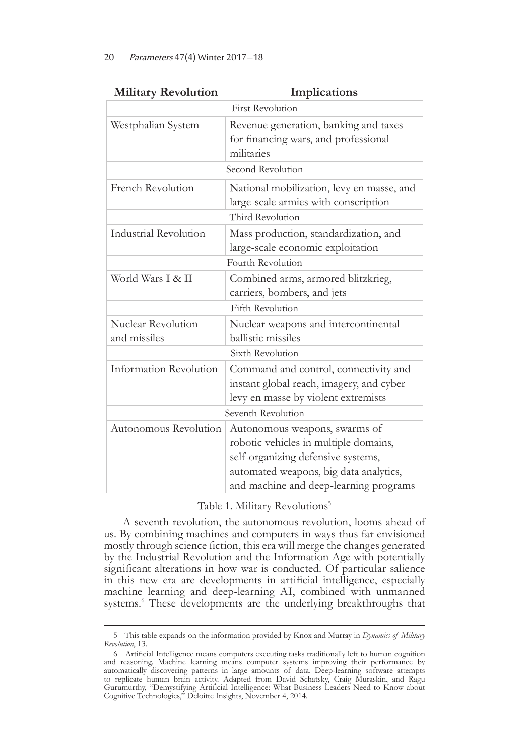| <b>Military Revolution</b>   | Implications                              |  |
|------------------------------|-------------------------------------------|--|
| <b>First Revolution</b>      |                                           |  |
| Westphalian System           | Revenue generation, banking and taxes     |  |
|                              | for financing wars, and professional      |  |
|                              | militaries                                |  |
| Second Revolution            |                                           |  |
| French Revolution            | National mobilization, levy en masse, and |  |
|                              | large-scale armies with conscription      |  |
| Third Revolution             |                                           |  |
| <b>Industrial Revolution</b> | Mass production, standardization, and     |  |
|                              | large-scale economic exploitation         |  |
| Fourth Revolution            |                                           |  |
| World Wars I & II            | Combined arms, armored blitzkrieg,        |  |
|                              | carriers, bombers, and jets               |  |
| <b>Fifth Revolution</b>      |                                           |  |
| Nuclear Revolution           | Nuclear weapons and intercontinental      |  |
| and missiles                 | ballistic missiles                        |  |
| Sixth Revolution             |                                           |  |
| Information Revolution       | Command and control, connectivity and     |  |
|                              | instant global reach, imagery, and cyber  |  |
|                              | levy en masse by violent extremists       |  |
| Seventh Revolution           |                                           |  |
| Autonomous Revolution        | Autonomous weapons, swarms of             |  |
|                              | robotic vehicles in multiple domains,     |  |
|                              | self-organizing defensive systems,        |  |
|                              | automated weapons, big data analytics,    |  |
|                              | and machine and deep-learning programs    |  |

| <b>Iilitary Revolution</b> | <b>Im</b> |
|----------------------------|-----------|
|                            |           |

Table 1. Military Revolutions<sup>5</sup>

A seventh revolution, the autonomous revolution, looms ahead of us. By combining machines and computers in ways thus far envisioned mostly through science fiction, this era will merge the changes generated by the Industrial Revolution and the Information Age with potentially significant alterations in how war is conducted. Of particular salience in this new era are developments in artificial intelligence, especially machine learning and deep-learning AI, combined with unmanned systems.<sup>6</sup> These developments are the underlying breakthroughs that

<sup>5</sup>This table expands on the information provided by Knox and Murray in *Dynamics of Military Revolution*, 13.

<sup>6</sup>Artificial Intelligence means computers executing tasks traditionally left to human cognition and reasoning. Machine learning means computer systems improving their performance by automatically discovering patterns in large amounts of data. Deep-learning software attempts to replicate human brain activity. Adapted from David Schatsky, Craig Muraskin, and Ragu Gurumurthy, "Demystifying Artificial Intelligence: What Business Leaders Need to Know about Cognitive Technologies," Deloitte Insights, November 4, 2014.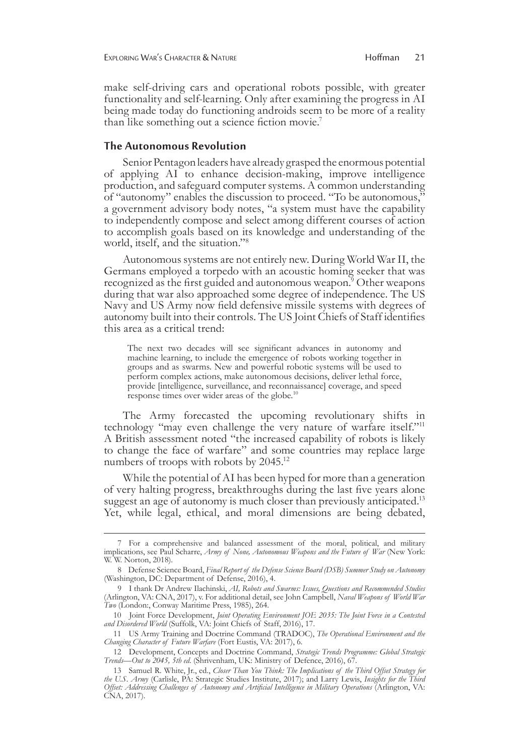make self-driving cars and operational robots possible, with greater functionality and self-learning. Only after examining the progress in AI being made today do functioning androids seem to be more of a reality than like something out a science fiction movie.7

### **The Autonomous Revolution**

Senior Pentagon leaders have already grasped the enormous potential of applying AI to enhance decision-making, improve intelligence production, and safeguard computer systems. A common understanding of "autonomy" enables the discussion to proceed. "To be autonomous," a government advisory body notes, "a system must have the capability to independently compose and select among different courses of action to accomplish goals based on its knowledge and understanding of the world, itself, and the situation."8

Autonomous systems are not entirely new. During World War II, the Germans employed a torpedo with an acoustic homing seeker that was recognized as the first guided and autonomous weapon.9 Other weapons during that war also approached some degree of independence. The US Navy and US Army now field defensive missile systems with degrees of autonomy built into their controls. The US Joint Chiefs of Staff identifies this area as a critical trend:

The next two decades will see significant advances in autonomy and machine learning, to include the emergence of robots working together in groups and as swarms. New and powerful robotic systems will be used to perform complex actions, make autonomous decisions, deliver lethal force, provide [intelligence, surveillance, and reconnaissance] coverage, and speed response times over wider areas of the globe.10

The Army forecasted the upcoming revolutionary shifts in technology "may even challenge the very nature of warfare itself."11 A British assessment noted "the increased capability of robots is likely to change the face of warfare" and some countries may replace large numbers of troops with robots by 2045.<sup>12</sup>

While the potential of AI has been hyped for more than a generation of very halting progress, breakthroughs during the last five years alone suggest an age of autonomy is much closer than previously anticipated.<sup>13</sup> Yet, while legal, ethical, and moral dimensions are being debated,

<sup>7</sup> For a comprehensive and balanced assessment of the moral, political, and military implications, see Paul Scharre, *Army of None, Autonomous Weapons and the Future of War* (New York: W. W. Norton, 2018).

<sup>8</sup>Defense Science Board, *Final Report of the Defense Science Board (DSB) Summer Study on Autonomy* (Washington, DC: Department of Defense, 2016), 4.

<sup>9</sup>I thank Dr Andrew Ilachinski, *AI, Robots and Swarms: Issues, Questions and Recommended Studies* (Arlington, VA: CNA, 2017), v. For additional detail, see John Campbell, *Naval Weapons of World War Two* (London:, Conway Maritime Press, 1985), 264.

<sup>10</sup>Joint Force Development, *Joint Operating Environment JOE 2035: The Joint Force in a Contested and Disordered World* (Suffolk, VA: Joint Chiefs of Staff, 2016), 17.

<sup>11</sup>US Army Training and Doctrine Command (TRADOC), *The Operational Environment and the Changing Character of Future Warfare* (Fort Eustis, VA: 2017), 6.

<sup>12</sup>Development, Concepts and Doctrine Command, *Strategic Trends Programme: Global Strategic Trends—Out to 2045, 5th ed*. (Shrivenham, UK: Ministry of Defence, 2016), 67.

<sup>13</sup>Samuel R. White, Jr., ed., *Closer Than You Think: The Implications of the Third Offset Strategy for the U.S. Army* (Carlisle, PA: Strategic Studies Institute, 2017); and Larry Lewis, *Insights for the Third Offset: Addressing Challenges of Autonomy and Artificial Intelligence in Military Operations* (Arlington, VA: CNA, 2017).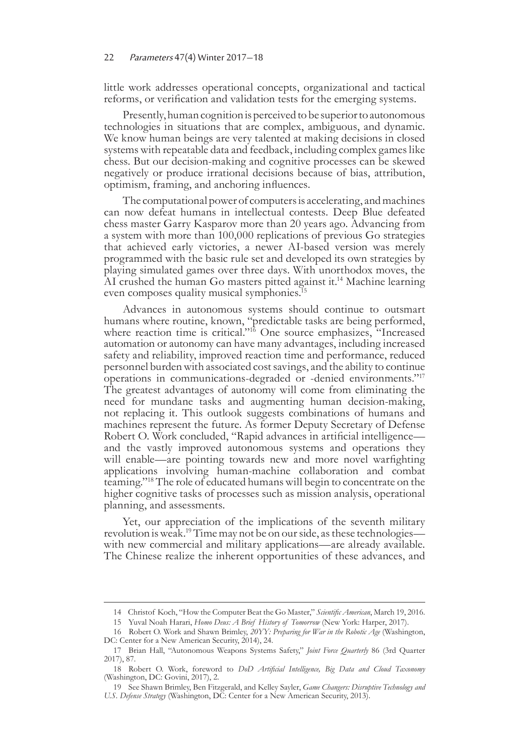little work addresses operational concepts, organizational and tactical reforms, or verification and validation tests for the emerging systems.

Presently, human cognition is perceived to be superior to autonomous technologies in situations that are complex, ambiguous, and dynamic. We know human beings are very talented at making decisions in closed systems with repeatable data and feedback, including complex games like chess. But our decision-making and cognitive processes can be skewed negatively or produce irrational decisions because of bias, attribution, optimism, framing, and anchoring influences.

The computational power of computers is accelerating, and machines can now defeat humans in intellectual contests. Deep Blue defeated chess master Garry Kasparov more than 20 years ago. Advancing from a system with more than 100,000 replications of previous Go strategies that achieved early victories, a newer AI-based version was merely programmed with the basic rule set and developed its own strategies by playing simulated games over three days. With unorthodox moves, the AI crushed the human Go masters pitted against it.<sup>14</sup> Machine learning even composes quality musical symphonies.<sup>15</sup>

Advances in autonomous systems should continue to outsmart humans where routine, known, "predictable tasks are being performed, where reaction time is critical."<sup>16</sup> One source emphasizes, "Increased automation or autonomy can have many advantages, including increased safety and reliability, improved reaction time and performance, reduced personnel burden with associated cost savings, and the ability to continue operations in communications-degraded or -denied environments."17 The greatest advantages of autonomy will come from eliminating the need for mundane tasks and augmenting human decision-making, not replacing it. This outlook suggests combinations of humans and machines represent the future. As former Deputy Secretary of Defense Robert O. Work concluded, "Rapid advances in artificial intelligence and the vastly improved autonomous systems and operations they will enable—are pointing towards new and more novel warfighting applications involving human-machine collaboration and combat teaming."18 The role of educated humans will begin to concentrate on the higher cognitive tasks of processes such as mission analysis, operational planning, and assessments.

Yet, our appreciation of the implications of the seventh military revolution is weak.19 Time may not be on our side, as these technologies with new commercial and military applications—are already available. The Chinese realize the inherent opportunities of these advances, and

<sup>14</sup>Christof Koch, "How the Computer Beat the Go Master," *Scientific American*, March 19, 2016.

<sup>15</sup> Yuval Noah Harari, *Homo Deus: A Brief History of Tomorrow* (New York: Harper, 2017).

<sup>16</sup>Robert O. Work and Shawn Brimley, *20YY: Preparing for War in the Robotic Age* (Washington, DC: Center for a New American Security, 2014), 24.

<sup>17</sup>Brian Hall, "Autonomous Weapons Systems Safety," *Joint Force Quarterly* 86 (3rd Quarter 2017), 87.

<sup>18</sup>Robert O. Work, foreword to *DoD Artificial Intelligence, Big Data and Cloud Taxonomy* (Washington, DC: Govini, 2017), 2.

<sup>19</sup>See Shawn Brimley, Ben Fitzgerald, and Kelley Sayler, *Game Changers: Disruptive Technology and U.S. Defense Strategy* (Washington, DC: Center for a New American Security, 2013).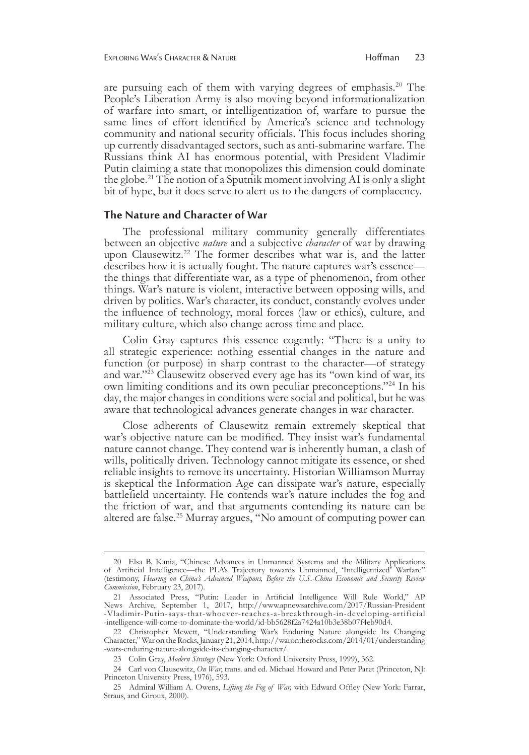are pursuing each of them with varying degrees of emphasis.<sup>20</sup> The People's Liberation Army is also moving beyond informationalization of warfare into smart, or intelligentization of, warfare to pursue the same lines of effort identified by America's science and technology community and national security officials. This focus includes shoring up currently disadvantaged sectors, such as anti-submarine warfare. The Russians think AI has enormous potential, with President Vladimir Putin claiming a state that monopolizes this dimension could dominate the globe.21 The notion of a Sputnik moment involving AI is only a slight bit of hype, but it does serve to alert us to the dangers of complacency.

#### **The Nature and Character of War**

The professional military community generally differentiates between an objective *nature* and a subjective *character* of war by drawing upon Clausewitz.<sup>22</sup> The former describes what war is, and the latter describes how it is actually fought. The nature captures war's essence the things that differentiate war, as a type of phenomenon, from other things. War's nature is violent, interactive between opposing wills, and driven by politics. War's character, its conduct, constantly evolves under the influence of technology, moral forces (law or ethics), culture, and military culture, which also change across time and place.

Colin Gray captures this essence cogently: "There is a unity to all strategic experience: nothing essential changes in the nature and function (or purpose) in sharp contrast to the character—of strategy and war."23 Clausewitz observed every age has its "own kind of war, its own limiting conditions and its own peculiar preconceptions."24 In his day, the major changes in conditions were social and political, but he was aware that technological advances generate changes in war character.

Close adherents of Clausewitz remain extremely skeptical that war's objective nature can be modified. They insist war's fundamental nature cannot change. They contend war is inherently human, a clash of wills, politically driven. Technology cannot mitigate its essence, or shed reliable insights to remove its uncertainty. Historian Williamson Murray is skeptical the Information Age can dissipate war's nature, especially battlefield uncertainty. He contends war's nature includes the fog and the friction of war, and that arguments contending its nature can be altered are false.<sup>25</sup> Murray argues, "No amount of computing power can

<sup>20</sup> Elsa B. Kania, "Chinese Advances in Unmanned Systems and the Military Applications of Artificial Intelligence—the PLA's Trajectory towards Unmanned, 'Intelligentized' Warfare" (testimony, *Hearing on China's Advanced Weapons, Before the U.S.-China Economic and Security Review Commission*, February 23, 2017).

<sup>21</sup> Associated Press, "Putin: Leader in Artificial Intelligence Will Rule World," AP News Archive, September 1, 2017, http://www.apnewsarchive.com/2017/Russian-President -Vladimir-Putin-says-that-whoever-reaches-a-breakthrough-in-developing-artificial -intelligence-will-come-to-dominate-the-world/id-bb5628f2a7424a10b3e38b07f4eb90d4.

<sup>22</sup> Christopher Mewett, "Understanding War's Enduring Nature alongside Its Changing Character," War on the Rocks, January 21, 2014, http://warontherocks.com/2014/01/understanding -wars-enduring-nature-alongside-its-changing-character/.

<sup>23</sup> Colin Gray, *Modern Strategy* (New York: Oxford University Press, 1999), 362.

<sup>24</sup> Carl von Clausewitz, *On War*, trans. and ed. Michael Howard and Peter Paret (Princeton, NJ: Princeton University Press, 1976), 593.

<sup>25</sup> Admiral William A. Owens, *Lifting the Fog of War,* with Edward Offley (New York: Farrar, Straus, and Giroux, 2000).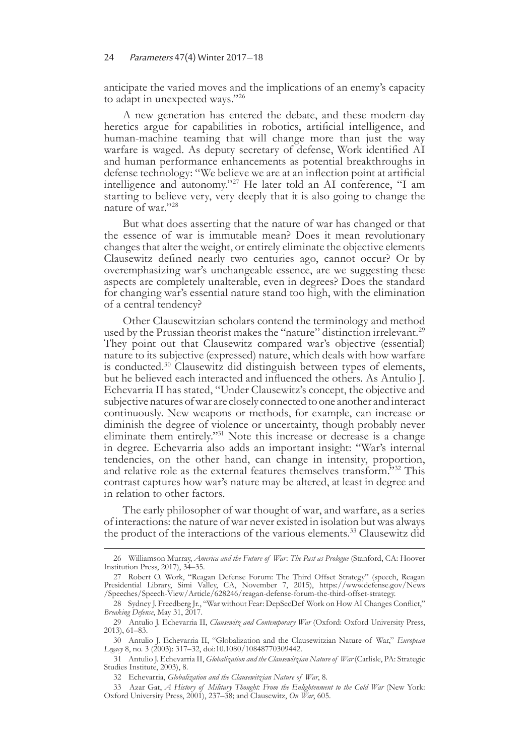anticipate the varied moves and the implications of an enemy's capacity to adapt in unexpected ways."26

A new generation has entered the debate, and these modern-day heretics argue for capabilities in robotics, artificial intelligence, and human-machine teaming that will change more than just the way warfare is waged. As deputy secretary of defense, Work identified AI and human performance enhancements as potential breakthroughs in defense technology: "We believe we are at an inflection point at artificial intelligence and autonomy."27 He later told an AI conference, "I am starting to believe very, very deeply that it is also going to change the nature of war."28

But what does asserting that the nature of war has changed or that the essence of war is immutable mean? Does it mean revolutionary changes that alter the weight, or entirely eliminate the objective elements Clausewitz defined nearly two centuries ago, cannot occur? Or by overemphasizing war's unchangeable essence, are we suggesting these aspects are completely unalterable, even in degrees? Does the standard for changing war's essential nature stand too high, with the elimination of a central tendency?

Other Clausewitzian scholars contend the terminology and method used by the Prussian theorist makes the "nature" distinction irrelevant.<sup>29</sup> They point out that Clausewitz compared war's objective (essential) nature to its subjective (expressed) nature, which deals with how warfare is conducted.30 Clausewitz did distinguish between types of elements, but he believed each interacted and influenced the others. As Antulio J. Echevarria II has stated, "Under Clausewitz's concept, the objective and subjective natures of war are closely connected to one another and interact continuously. New weapons or methods, for example, can increase or diminish the degree of violence or uncertainty, though probably never eliminate them entirely."31 Note this increase or decrease is a change in degree. Echevarria also adds an important insight: "War's internal tendencies, on the other hand, can change in intensity, proportion, and relative role as the external features themselves transform."32 This contrast captures how war's nature may be altered, at least in degree and in relation to other factors.

The early philosopher of war thought of war, and warfare, as a series of interactions: the nature of war never existed in isolation but was always the product of the interactions of the various elements.<sup>33</sup> Clausewitz did

<sup>26</sup>Williamson Murray, *America and the Future of War: The Past as Prologue* (Stanford, CA: Hoover Institution Press, 2017), 34–35.

<sup>27</sup> Robert O. Work, "Reagan Defense Forum: The Third Offset Strategy" (speech, Reagan Presidential Library, Simi Valley, CA, November 7, 2015), https://www.defense.gov/News /Speeches/Speech-View/Article/628246/reagan-defense-forum-the-third-offset-strategy.

<sup>28</sup>Sydney J. Freedberg Jr., "War without Fear: DepSecDef Work on How AI Changes Conflict," *Breaking Defense*, May 31, 2017.

<sup>29</sup>Antulio J. Echevarria II, *Clausewitz and Contemporary War* (Oxford: Oxford University Press, 2013), 61–83.

<sup>30</sup>Antulio J. Echevarria II, "Globalization and the Clausewitzian Nature of War," *European Legacy* 8, no. 3 (2003): 317–32, doi:10.1080/10848770309442.

<sup>31</sup>Antulio J. Echevarria II, *Globalization and the Clausewitzian Nature of War* (Carlisle, PA: Strategic Studies Institute, 2003), 8.

<sup>32</sup> Echevarria, *Globalization and the Clausewitzian Nature of War*, 8.

<sup>33</sup> Azar Gat, *A History of Military Thought: From the Enlightenment to the Cold War* (New York: Oxford University Press, 2001), 237–38; and Clausewitz, *On War*, 605.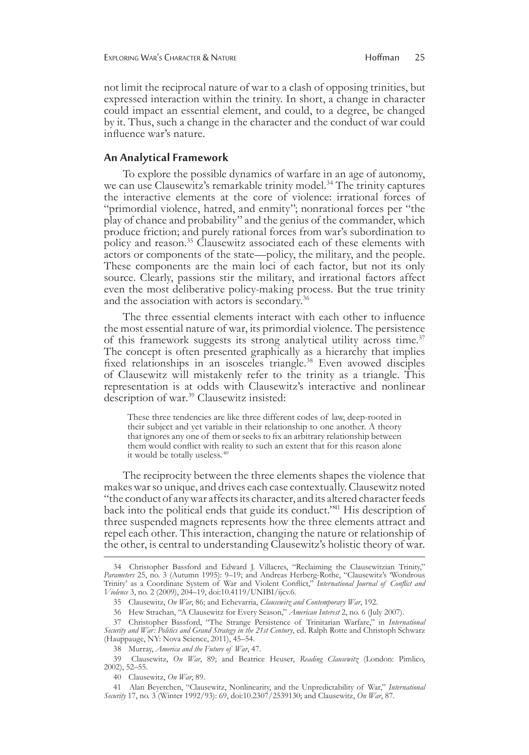not limit the reciprocal nature of war to a clash of opposing trinities, but expressed interaction within the trinity. In short, a change in character could impact an essential element, and could, to a degree, be changed by it. Thus, such a change in the character and the conduct of war could influence war's nature.

#### **An Analytical Framework**

To explore the possible dynamics of warfare in an age of autonomy, we can use Clausewitz's remarkable trinity model.<sup>34</sup> The trinity captures the interactive elements at the core of violence: irrational forces of "primordial violence, hatred, and enmity"; nonrational forces per "the play of chance and probability" and the genius of the commander, which produce friction; and purely rational forces from war's subordination to policy and reason.<sup>35</sup> Clausewitz associated each of these elements with actors or components of the state—policy, the military, and the people. These components are the main loci of each factor, but not its only source. Clearly, passions stir the military, and irrational factors affect even the most deliberative policy-making process. But the true trinity and the association with actors is secondary.36

The three essential elements interact with each other to influence the most essential nature of war, its primordial violence. The persistence of this framework suggests its strong analytical utility across time.<sup>37</sup> The concept is often presented graphically as a hierarchy that implies fixed relationships in an isosceles triangle.38 Even avowed disciples of Clausewitz will mistakenly refer to the trinity as a triangle. This representation is at odds with Clausewitz's interactive and nonlinear description of war.<sup>39</sup> Clausewitz insisted:

These three tendencies are like three different codes of law, deep-rooted in their subject and yet variable in their relationship to one another. A theory that ignores any one of them or seeks to fix an arbitrary relationship between them would conflict with reality to such an extent that for this reason alone it would be totally useless.<sup>40</sup>

The reciprocity between the three elements shapes the violence that makes war so unique, and drives each case contextually. Clausewitz noted "the conduct of any war affects its character, and its altered character feeds back into the political ends that guide its conduct."41 His description of three suspended magnets represents how the three elements attract and repel each other. This interaction, changing the nature or relationship of the other, is central to understanding Clausewitz's holistic theory of war.

<sup>34</sup> Christopher Bassford and Edward J. Villacres, "Reclaiming the Clausewitzian Trinity," *Parameters* 25, no. 3 (Autumn 1995): 9–19; and Andreas Herberg-Rothe, "Clausewitz's 'Wondrous Trinity' as a Coordinate System of War and Violent Conflict," *International Journal of Conflict and Violence* 3, no. 2 (2009), 204–19, doi:10.4119/UNIBI/ijcv.6.

<sup>35</sup> Clausewitz, *On War*, 86; and Echevarria, *Clausewitz and Contemporary War*, 192.

<sup>36</sup> Hew Strachan, "A Clausewitz for Every Season," *American Interest* 2, no. 6 (July 2007).

<sup>37</sup>Christopher Bassford, "The Strange Persistence of Trinitarian Warfare," in *International Security and War: Politics and Grand Strategy in the 21st Century*, ed. Ralph Rotte and Christoph Schwarz (Hauppauge, NY: Nova Science, 2011), 45–54.

<sup>38</sup> Murray, *America and the Future of War*, 47.

<sup>39</sup>Clausewitz, *On War*, 89; and Beatrice Heuser, *Reading Clausewitz* (London: Pimlico, 2002), 52–55.

<sup>40</sup> Clausewitz, *On War*, 89.

<sup>41</sup>Alan Beyerchen, "Clausewitz, Nonlinearity, and the Unpredictability of War," *International Security* 17, no. 3 (Winter 1992/93): 69, doi:10.2307/2539130; and Clausewitz, *On War*, 87.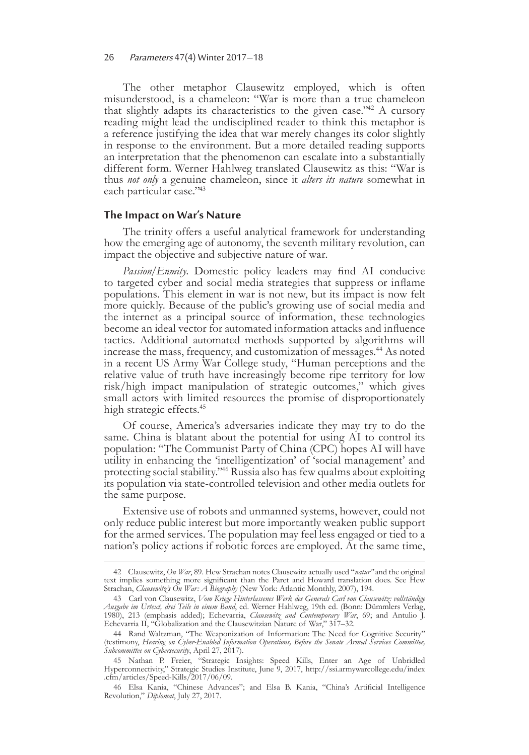The other metaphor Clausewitz employed, which is often misunderstood, is a chameleon: "War is more than a true chameleon that slightly adapts its characteristics to the given case."<sup>42</sup> A cursory reading might lead the undisciplined reader to think this metaphor is a reference justifying the idea that war merely changes its color slightly in response to the environment. But a more detailed reading supports an interpretation that the phenomenon can escalate into a substantially different form. Werner Hahlweg translated Clausewitz as this: "War is thus *not only* a genuine chameleon, since it *alters its nature* somewhat in each particular case."<sup>43</sup>

#### **The Impact on War's Nature**

The trinity offers a useful analytical framework for understanding how the emerging age of autonomy, the seventh military revolution, can impact the objective and subjective nature of war.

*Passion/Enmity*. Domestic policy leaders may find AI conducive to targeted cyber and social media strategies that suppress or inflame populations. This element in war is not new, but its impact is now felt more quickly. Because of the public's growing use of social media and the internet as a principal source of information, these technologies become an ideal vector for automated information attacks and influence tactics. Additional automated methods supported by algorithms will increase the mass, frequency, and customization of messages.<sup>44</sup> As noted in a recent US Army War College study, "Human perceptions and the relative value of truth have increasingly become ripe territory for low risk/high impact manipulation of strategic outcomes," which gives small actors with limited resources the promise of disproportionately high strategic effects.<sup>45</sup>

Of course, America's adversaries indicate they may try to do the same. China is blatant about the potential for using AI to control its population: "The Communist Party of China (CPC) hopes AI will have utility in enhancing the 'intelligentization' of 'social management' and protecting social stability."46 Russia also has few qualms about exploiting its population via state-controlled television and other media outlets for the same purpose.

Extensive use of robots and unmanned systems, however, could not only reduce public interest but more importantly weaken public support for the armed services. The population may feel less engaged or tied to a nation's policy actions if robotic forces are employed. At the same time,

<sup>42</sup>Clausewitz, *On War*, 89. Hew Strachan notes Clausewitz actually used "*natur"* and the original text implies something more significant than the Paret and Howard translation does. See Hew Strachan, *Clausewitz's On War: A Biography* (New York: Atlantic Monthly, 2007), 194.

<sup>43</sup>Carl von Clausewitz, *Vom Kriege Hinterlassenes Werk des Generals Carl von Clausewitz: vollständige Ausgabe im Urtext, drei Teile in einem Band*, ed. Werner Hahlweg, 19th ed. (Bonn: Dümmlers Verlag, 1980), 213 (emphasis added); Echevarria, *Clausewitz and Contemporary War*, 69; and Antulio J. Echevarria II, "Globalization and the Clausewitzian Nature of War," 317–32.

<sup>44</sup> Rand Waltzman, "The Weaponization of Information: The Need for Cognitive Security" (testimony, *Hearing on Cyber-Enabled Information Operations, Before the Senate Armed Services Committee, Subcommittee on Cybersecurity*, April 27, 2017).

<sup>45</sup>Nathan P. Freier, "Strategic Insights: Speed Kills, Enter an Age of Unbridled Hyperconnectivity," Strategic Studies Institute, June 9, 2017, http://ssi.armywarcollege.edu/index .cfm/articles/Speed-Kills/2017/06/09.

<sup>46</sup>Elsa Kania, "Chinese Advances"; and Elsa B. Kania, "China's Artificial Intelligence Revolution," *Diplomat*, July 27, 2017.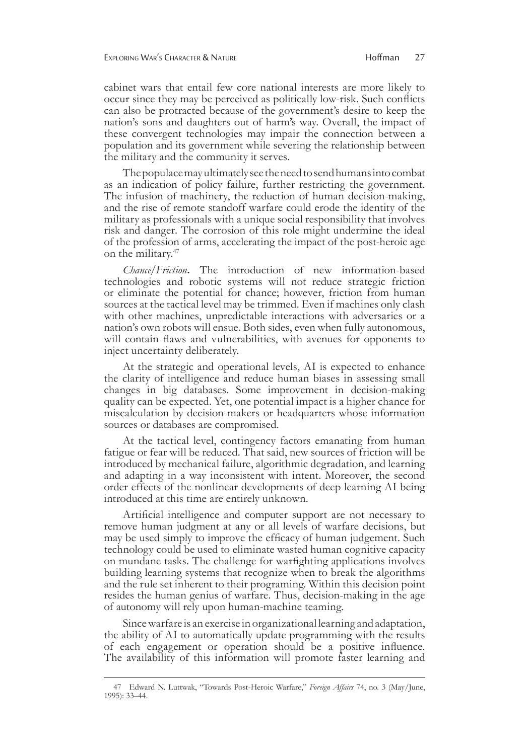cabinet wars that entail few core national interests are more likely to occur since they may be perceived as politically low-risk. Such conflicts can also be protracted because of the government's desire to keep the nation's sons and daughters out of harm's way. Overall, the impact of these convergent technologies may impair the connection between a population and its government while severing the relationship between the military and the community it serves.

The populace may ultimately see the need to send humans into combat as an indication of policy failure, further restricting the government. The infusion of machinery, the reduction of human decision-making, and the rise of remote standoff warfare could erode the identity of the military as professionals with a unique social responsibility that involves risk and danger. The corrosion of this role might undermine the ideal of the profession of arms, accelerating the impact of the post-heroic age on the military.<sup>47</sup>

*Chance/Friction***.** The introduction of new information-based technologies and robotic systems will not reduce strategic friction or eliminate the potential for chance; however, friction from human sources at the tactical level may be trimmed. Even if machines only clash with other machines, unpredictable interactions with adversaries or a nation's own robots will ensue. Both sides, even when fully autonomous, will contain flaws and vulnerabilities, with avenues for opponents to inject uncertainty deliberately.

At the strategic and operational levels, AI is expected to enhance the clarity of intelligence and reduce human biases in assessing small changes in big databases. Some improvement in decision-making quality can be expected. Yet, one potential impact is a higher chance for miscalculation by decision-makers or headquarters whose information sources or databases are compromised.

At the tactical level, contingency factors emanating from human fatigue or fear will be reduced. That said, new sources of friction will be introduced by mechanical failure, algorithmic degradation, and learning and adapting in a way inconsistent with intent. Moreover, the second order effects of the nonlinear developments of deep learning AI being introduced at this time are entirely unknown.

Artificial intelligence and computer support are not necessary to remove human judgment at any or all levels of warfare decisions, but may be used simply to improve the efficacy of human judgement. Such technology could be used to eliminate wasted human cognitive capacity on mundane tasks. The challenge for warfighting applications involves building learning systems that recognize when to break the algorithms and the rule set inherent to their programing. Within this decision point resides the human genius of warfare. Thus, decision-making in the age of autonomy will rely upon human-machine teaming.

Since warfare is an exercise in organizational learning and adaptation, the ability of AI to automatically update programming with the results of each engagement or operation should be a positive influence. The availability of this information will promote faster learning and

<sup>47</sup>Edward N. Luttwak, "Towards Post-Heroic Warfare," *Foreign Affairs* 74, no. 3 (May/June, 1995): 33–44.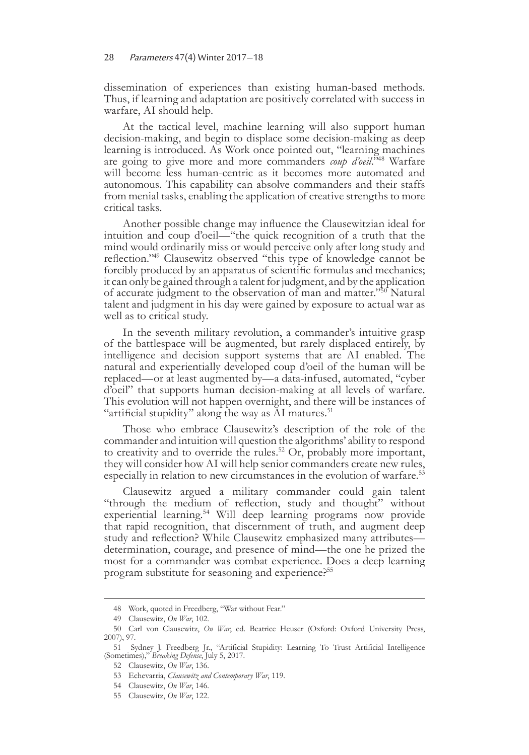dissemination of experiences than existing human-based methods. Thus, if learning and adaptation are positively correlated with success in warfare, AI should help.

At the tactical level, machine learning will also support human decision-making, and begin to displace some decision-making as deep learning is introduced. As Work once pointed out, "learning machines are going to give more and more commanders *coup d'oeil*."48 Warfare will become less human-centric as it becomes more automated and autonomous. This capability can absolve commanders and their staffs from menial tasks, enabling the application of creative strengths to more critical tasks.

Another possible change may influence the Clausewitzian ideal for intuition and coup d'oeil—"the quick recognition of a truth that the mind would ordinarily miss or would perceive only after long study and reflection."49 Clausewitz observed "this type of knowledge cannot be forcibly produced by an apparatus of scientific formulas and mechanics; it can only be gained through a talent for judgment, and by the application of accurate judgment to the observation of man and matter."<sup>50</sup> Natural talent and judgment in his day were gained by exposure to actual war as well as to critical study.

In the seventh military revolution, a commander's intuitive grasp of the battlespace will be augmented, but rarely displaced entirely, by intelligence and decision support systems that are AI enabled. The natural and experientially developed coup d'oeil of the human will be replaced—or at least augmented by—a data-infused, automated, "cyber d'oeil" that supports human decision-making at all levels of warfare. This evolution will not happen overnight, and there will be instances of "artificial stupidity" along the way as AI matures. $51$ 

Those who embrace Clausewitz's description of the role of the commander and intuition will question the algorithms' ability to respond to creativity and to override the rules.<sup>52</sup> Or, probably more important, they will consider how AI will help senior commanders create new rules, especially in relation to new circumstances in the evolution of warfare.<sup>53</sup>

Clausewitz argued a military commander could gain talent "through the medium of reflection, study and thought" without experiential learning.<sup>54</sup> Will deep learning programs now provide that rapid recognition, that discernment of truth, and augment deep study and reflection? While Clausewitz emphasized many attributes determination, courage, and presence of mind—the one he prized the most for a commander was combat experience. Does a deep learning program substitute for seasoning and experience?<sup>55</sup>

<sup>48</sup> Work, quoted in Freedberg, "War without Fear."

<sup>49</sup> Clausewitz, *On War*, 102.

<sup>50</sup>Carl von Clausewitz, *On War*, ed. Beatrice Heuser (Oxford: Oxford University Press, 2007), 97.

<sup>51</sup>Sydney J. Freedberg Jr., "Artificial Stupidity: Learning To Trust Artificial Intelligence (Sometimes)," *Breaking Defense*, July 5, 2017.

<sup>52</sup> Clausewitz, *On War*, 136.

<sup>53</sup> Echevarria, *Clausewitz and Contemporary War*, 119.

<sup>54</sup> Clausewitz, *On War*, 146.

<sup>55</sup> Clausewitz, *On War*, 122.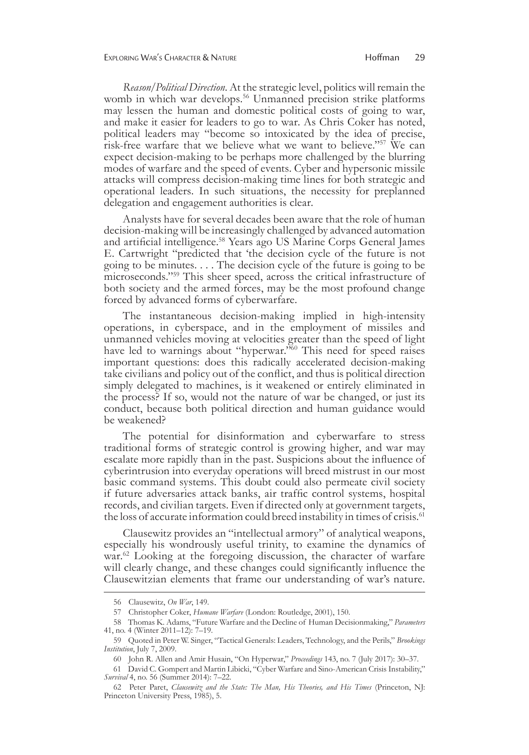*Reason/Political Direction*. At the strategic level, politics will remain the womb in which war develops.<sup>56</sup> Unmanned precision strike platforms may lessen the human and domestic political costs of going to war, and make it easier for leaders to go to war. As Chris Coker has noted, political leaders may "become so intoxicated by the idea of precise, risk-free warfare that we believe what we want to believe."57 We can expect decision-making to be perhaps more challenged by the blurring modes of warfare and the speed of events. Cyber and hypersonic missile attacks will compress decision-making time lines for both strategic and operational leaders. In such situations, the necessity for preplanned delegation and engagement authorities is clear.

Analysts have for several decades been aware that the role of human decision-making will be increasingly challenged by advanced automation and artificial intelligence.58 Years ago US Marine Corps General James E. Cartwright "predicted that 'the decision cycle of the future is not going to be minutes. . . . The decision cycle of the future is going to be microseconds."59 This sheer speed, across the critical infrastructure of both society and the armed forces, may be the most profound change forced by advanced forms of cyberwarfare.

The instantaneous decision-making implied in high-intensity operations, in cyberspace, and in the employment of missiles and unmanned vehicles moving at velocities greater than the speed of light have led to warnings about "hyperwar."<sup>60</sup> This need for speed raises important questions: does this radically accelerated decision-making take civilians and policy out of the conflict, and thus is political direction simply delegated to machines, is it weakened or entirely eliminated in the process? If so, would not the nature of war be changed, or just its conduct, because both political direction and human guidance would be weakened?

The potential for disinformation and cyberwarfare to stress traditional forms of strategic control is growing higher, and war may escalate more rapidly than in the past. Suspicions about the influence of cyberintrusion into everyday operations will breed mistrust in our most basic command systems. This doubt could also permeate civil society if future adversaries attack banks, air traffic control systems, hospital records, and civilian targets. Even if directed only at government targets, the loss of accurate information could breed instability in times of crisis.<sup>61</sup>

Clausewitz provides an "intellectual armory" of analytical weapons, especially his wondrously useful trinity, to examine the dynamics of war.<sup>62</sup> Looking at the foregoing discussion, the character of warfare will clearly change, and these changes could significantly influence the Clausewitzian elements that frame our understanding of war's nature.

<sup>56</sup> Clausewitz, *On War*, 149.

<sup>57</sup>Christopher Coker, *Humane Warfare* (London: Routledge, 2001), 150.

<sup>58</sup>Thomas K. Adams, "Future Warfare and the Decline of Human Decisionmaking," *Parameters* 41, no. 4 (Winter 2011–12): 7–19.

<sup>59</sup>Quoted in Peter W. Singer, "Tactical Generals: Leaders, Technology, and the Perils," *Brookings Institution*, July 7, 2009.

<sup>60</sup> John R. Allen and Amir Husain, "On Hyperwar," *Proceedings* 143, no. 7 (July 2017): 30–37.

<sup>61</sup>David C. Gompert and Martin Libicki, "Cyber Warfare and Sino-American Crisis Instability," *Survival* 4, no. 56 (Summer 2014): 7–22.

<sup>62</sup>Peter Paret, *Clausewitz and the State: The Man, His Theories, and His Times* (Princeton, NJ: Princeton University Press, 1985), 5.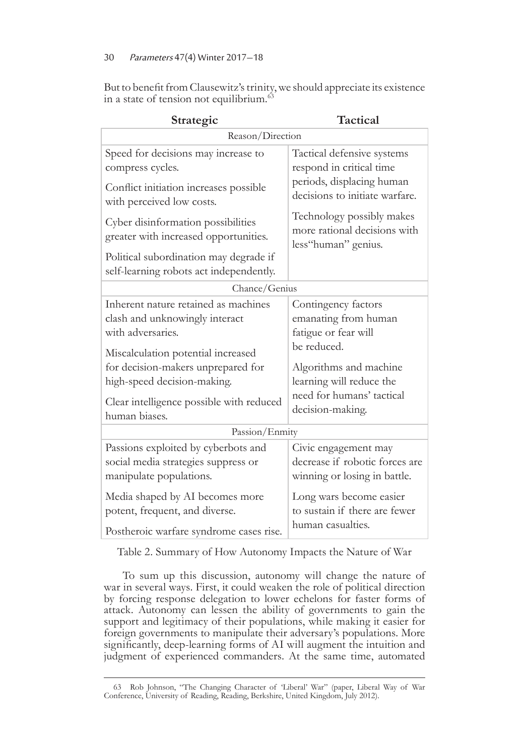But to benefit from Clausewitz's trinity, we should appreciate its existence in a state of tension not equilibrium.<sup>63</sup>

| Strategic                                                                         | <b>Tactical</b>                                                                  |  |  |
|-----------------------------------------------------------------------------------|----------------------------------------------------------------------------------|--|--|
| Reason/Direction                                                                  |                                                                                  |  |  |
| Speed for decisions may increase to                                               | Tactical defensive systems                                                       |  |  |
| compress cycles.                                                                  | respond in critical time                                                         |  |  |
| Conflict initiation increases possible<br>with perceived low costs.               | periods, displacing human<br>decisions to initiate warfare.                      |  |  |
| Cyber disinformation possibilities<br>greater with increased opportunities.       | Technology possibly makes<br>more rational decisions with<br>less"human" genius. |  |  |
| Political subordination may degrade if<br>self-learning robots act independently. |                                                                                  |  |  |
| Chance/Genius                                                                     |                                                                                  |  |  |
| Inherent nature retained as machines                                              | Contingency factors                                                              |  |  |
| clash and unknowingly interact                                                    | emanating from human                                                             |  |  |
| with adversaries.                                                                 | fatigue or fear will                                                             |  |  |
| Miscalculation potential increased                                                | be reduced.                                                                      |  |  |
| for decision-makers unprepared for                                                | Algorithms and machine                                                           |  |  |
| high-speed decision-making.                                                       | learning will reduce the                                                         |  |  |
| Clear intelligence possible with reduced                                          | need for humans' tactical                                                        |  |  |
| human biases.                                                                     | decision-making.                                                                 |  |  |
| Passion/Enmity                                                                    |                                                                                  |  |  |
| Passions exploited by cyberbots and                                               | Civic engagement may                                                             |  |  |
| social media strategies suppress or                                               | decrease if robotic forces are                                                   |  |  |
| manipulate populations.                                                           | winning or losing in battle.                                                     |  |  |
| Media shaped by AI becomes more                                                   | Long wars become easier                                                          |  |  |
| potent, frequent, and diverse.                                                    | to sustain if there are fewer                                                    |  |  |
| Postheroic warfare syndrome cases rise.                                           | human casualties.                                                                |  |  |

Table 2. Summary of How Autonomy Impacts the Nature of War

To sum up this discussion, autonomy will change the nature of war in several ways. First, it could weaken the role of political direction by forcing response delegation to lower echelons for faster forms of attack. Autonomy can lessen the ability of governments to gain the support and legitimacy of their populations, while making it easier for foreign governments to manipulate their adversary's populations. More significantly, deep-learning forms of AI will augment the intuition and judgment of experienced commanders. At the same time, automated

<sup>63</sup>Rob Johnson, "The Changing Character of 'Liberal' War" (paper, Liberal Way of War Conference, University of Reading, Reading, Berkshire, United Kingdom, July 2012).